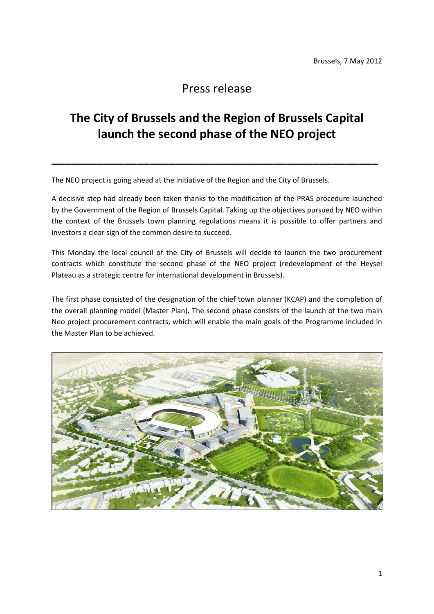## Press release

## **The City of Brussels and the Region of Brussels Capital launch the second phase of the NEO project**

**\_\_\_\_\_\_\_\_\_\_\_\_\_\_\_\_\_\_\_\_\_\_\_\_\_\_\_\_\_\_\_\_\_\_\_\_\_\_\_\_\_\_\_\_\_\_\_\_\_\_**

The NEO project is going ahead at the initiative of the Region and the City of Brussels.

A decisive step had already been taken thanks to the modification of the PRAS procedure launched by the Government of the Region of Brussels Capital. Taking up the objectives pursued by NEO within the context of the Brussels town planning regulations means it is possible to offer partners and investors a clear sign of the common desire to succeed.

This Monday the local council of the City of Brussels will decide to launch the two procurement contracts which constitute the second phase of the NEO project (redevelopment of the Heysel Plateau as a strategic centre for international development in Brussels).

The first phase consisted of the designation of the chief town planner (KCAP) and the completion of the overall planning model (Master Plan). The second phase consists of the launch of the two main Neo project procurement contracts, which will enable the main goals of the Programme included in the Master Plan to be achieved.

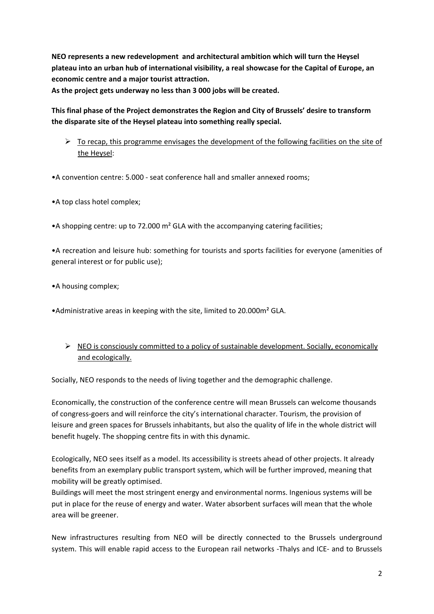**NEO represents a new redevelopment and architectural ambition which will turn the Heysel plateau into an urban hub of international visibility, a real showcase for the Capital of Europe, an economic centre and a major tourist attraction. As the project gets underway no less than 3 000 jobs will be created.**

**This final phase of the Project demonstrates the Region and City of Brussels' desire to transform the disparate site of the Heysel plateau into something really special.** 

 $\triangleright$  To recap, this programme envisages the development of the following facilities on the site of the Heysel:

•A convention centre: 5.000 ‐ seat conference hall and smaller annexed rooms;

•A top class hotel complex;

•A shopping centre: up to 72.000 m² GLA with the accompanying catering facilities;

•A recreation and leisure hub: something for tourists and sports facilities for everyone (amenities of general interest or for public use);

•A housing complex;

•Administrative areas in keeping with the site, limited to 20.000m² GLA.

▶ NEO is consciously committed to a policy of sustainable development. Socially, economically and ecologically.

Socially, NEO responds to the needs of living together and the demographic challenge.

Economically, the construction of the conference centre will mean Brussels can welcome thousands of congress‐goers and will reinforce the city's international character. Tourism, the provision of leisure and green spaces for Brussels inhabitants, but also the quality of life in the whole district will benefit hugely. The shopping centre fits in with this dynamic.

Ecologically, NEO sees itself as a model. Its accessibility is streets ahead of other projects. It already benefits from an exemplary public transport system, which will be further improved, meaning that mobility will be greatly optimised.

Buildings will meet the most stringent energy and environmental norms. Ingenious systems will be put in place for the reuse of energy and water. Water absorbent surfaces will mean that the whole area will be greener.

New infrastructures resulting from NEO will be directly connected to the Brussels underground system. This will enable rapid access to the European rail networks ‐Thalys and ICE‐ and to Brussels